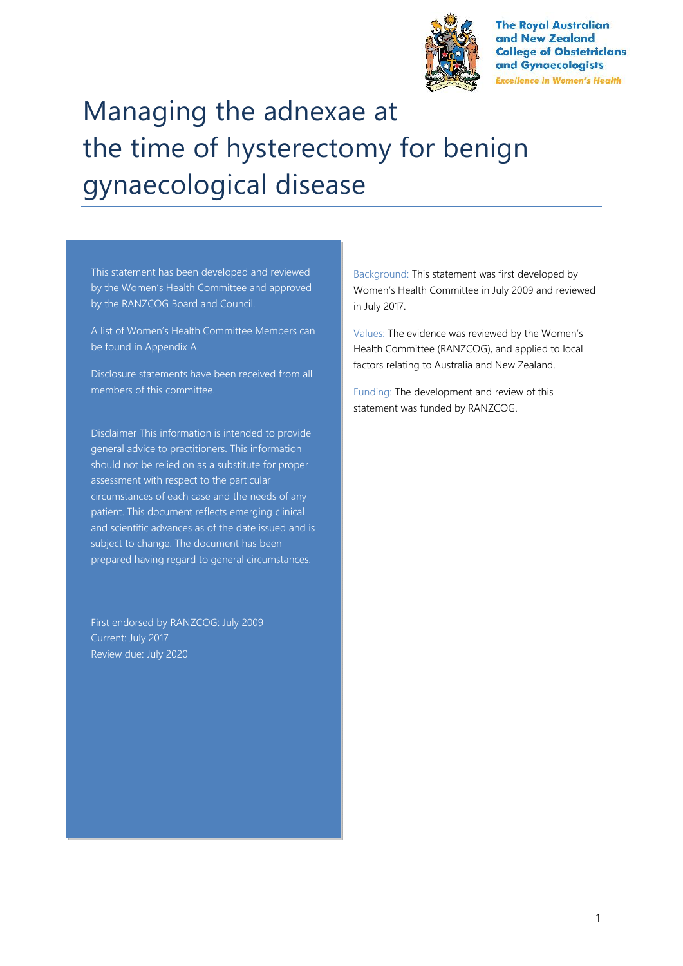

**The Royal Australian** and New Zealand **College of Obstetricians** and Gynaecologists **Excellence in Women's Health** 

# Managing the adnexae at the time of hysterectomy for benign gynaecological disease

This statement has been developed and reviewed by the Women's Health Committee and approved by the RANZCOG Board and Council.

A list of Women's Health Committee Members can be found in Appendix A.

Disclosure statements have been received from all members of this committee.

Disclaimer This information is intended to provide general advice to practitioners. This information should not be relied on as a substitute for proper assessment with respect to the particular circumstances of each case and the needs of any patient. This document reflects emerging clinical and scientific advances as of the date issued and is subject to change. The document has been prepared having regard to general circumstances.

First endorsed by RANZCOG: July 2009 Current: July 2017 Review due: July 2020

Background: This statement was first developed by Women's Health Committee in July 2009 and reviewed in July 2017.

Values: The evidence was reviewed by the Women's Health Committee (RANZCOG), and applied to local factors relating to Australia and New Zealand.

Funding: The development and review of this statement was funded by RANZCOG.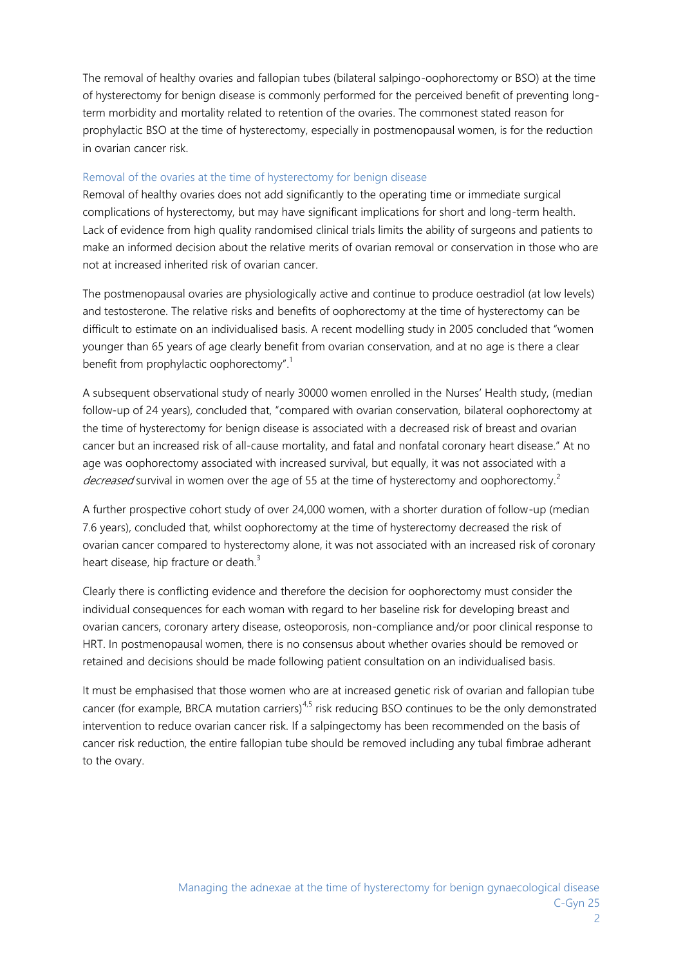The removal of healthy ovaries and fallopian tubes (bilateral salpingo-oophorectomy or BSO) at the time of hysterectomy for benign disease is commonly performed for the perceived benefit of preventing longterm morbidity and mortality related to retention of the ovaries. The commonest stated reason for prophylactic BSO at the time of hysterectomy, especially in postmenopausal women, is for the reduction in ovarian cancer risk.

#### Removal of the ovaries at the time of hysterectomy for benign disease

Removal of healthy ovaries does not add significantly to the operating time or immediate surgical complications of hysterectomy, but may have significant implications for short and long-term health. Lack of evidence from high quality randomised clinical trials limits the ability of surgeons and patients to make an informed decision about the relative merits of ovarian removal or conservation in those who are not at increased inherited risk of ovarian cancer.

The postmenopausal ovaries are physiologically active and continue to produce oestradiol (at low levels) and testosterone. The relative risks and benefits of oophorectomy at the time of hysterectomy can be difficult to estimate on an individualised basis. A recent modelling study in 2005 concluded that "women younger than 65 years of age clearly benefit from ovarian conservation, and at no age is there a clear benefit from prophylactic oophorectomy".<sup>1</sup>

A subsequent observational study of nearly 30000 women enrolled in the Nurses' Health study, (median follow-up of 24 years), concluded that, "compared with ovarian conservation, bilateral oophorectomy at the time of hysterectomy for benign disease is associated with a decreased risk of breast and ovarian cancer but an increased risk of all-cause mortality, and fatal and nonfatal coronary heart disease." At no age was oophorectomy associated with increased survival, but equally, it was not associated with a *decreased* survival in women over the age of 55 at the time of hysterectomy and oophorectomy.<sup>2</sup>

A further prospective cohort study of over 24,000 women, with a shorter duration of follow-up (median 7.6 years), concluded that, whilst oophorectomy at the time of hysterectomy decreased the risk of ovarian cancer compared to hysterectomy alone, it was not associated with an increased risk of coronary heart disease, hip fracture or death.<sup>3</sup>

Clearly there is conflicting evidence and therefore the decision for oophorectomy must consider the individual consequences for each woman with regard to her baseline risk for developing breast and ovarian cancers, coronary artery disease, osteoporosis, non-compliance and/or poor clinical response to HRT. In postmenopausal women, there is no consensus about whether ovaries should be removed or retained and decisions should be made following patient consultation on an individualised basis.

It must be emphasised that those women who are at increased genetic risk of ovarian and fallopian tube cancer (for example, BRCA mutation carriers)<sup>4,5</sup> risk reducing BSO continues to be the only demonstrated intervention to reduce ovarian cancer risk. If a salpingectomy has been recommended on the basis of cancer risk reduction, the entire fallopian tube should be removed including any tubal fimbrae adherant to the ovary.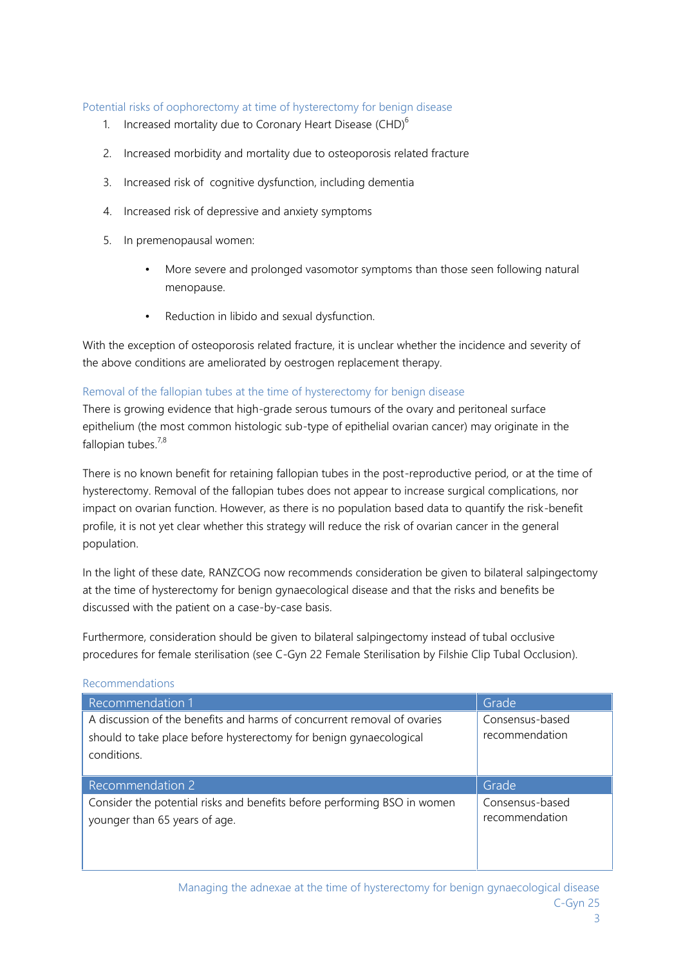#### Potential risks of oophorectomy at time of hysterectomy for benign disease

- 1. Increased mortality due to Coronary Heart Disease (CHD) $<sup>6</sup>$ </sup>
- 2. Increased morbidity and mortality due to osteoporosis related fracture
- 3. Increased risk of cognitive dysfunction, including dementia
- 4. Increased risk of depressive and anxiety symptoms
- 5. In premenopausal women:
	- More severe and prolonged vasomotor symptoms than those seen following natural menopause.
	- Reduction in libido and sexual dysfunction.

With the exception of osteoporosis related fracture, it is unclear whether the incidence and severity of the above conditions are ameliorated by oestrogen replacement therapy.

#### Removal of the fallopian tubes at the time of hysterectomy for benign disease

There is growing evidence that high-grade serous tumours of the ovary and peritoneal surface epithelium (the most common histologic sub-type of epithelial ovarian cancer) may originate in the fallopian tubes. $7,8$ 

There is no known benefit for retaining fallopian tubes in the post-reproductive period, or at the time of hysterectomy. Removal of the fallopian tubes does not appear to increase surgical complications, nor impact on ovarian function. However, as there is no population based data to quantify the risk-benefit profile, it is not yet clear whether this strategy will reduce the risk of ovarian cancer in the general population.

In the light of these date, RANZCOG now recommends consideration be given to bilateral salpingectomy at the time of hysterectomy for benign gynaecological disease and that the risks and benefits be discussed with the patient on a case-by-case basis.

Furthermore, consideration should be given to bilateral salpingectomy instead of tubal occlusive procedures for female sterilisation (see C-Gyn 22 Female Sterilisation by Filshie Clip Tubal Occlusion).

| <u>INCCOMMICHUATIONS</u>                                                                                                                                     |                                   |
|--------------------------------------------------------------------------------------------------------------------------------------------------------------|-----------------------------------|
| Recommendation 1                                                                                                                                             | Grade                             |
| A discussion of the benefits and harms of concurrent removal of ovaries<br>should to take place before hysterectomy for benign gynaecological<br>conditions. | Consensus-based<br>recommendation |
|                                                                                                                                                              |                                   |
| Recommendation 2                                                                                                                                             | Grade                             |

## Recommendations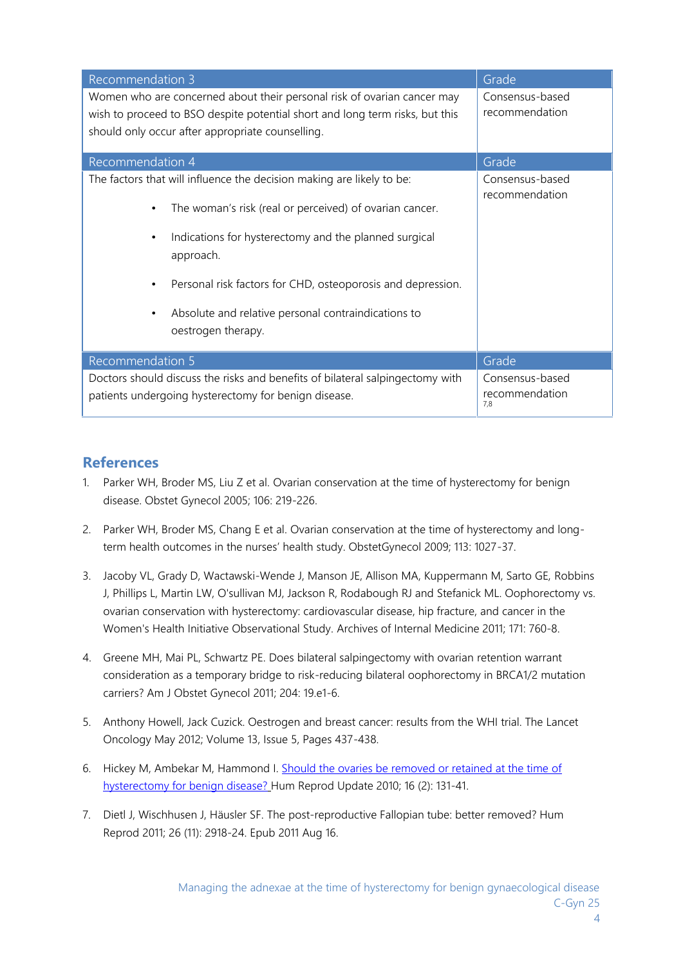| <b>Recommendation 3</b>                                                                                                                                                                                     | Grade                                    |
|-------------------------------------------------------------------------------------------------------------------------------------------------------------------------------------------------------------|------------------------------------------|
| Women who are concerned about their personal risk of ovarian cancer may<br>wish to proceed to BSO despite potential short and long term risks, but this<br>should only occur after appropriate counselling. | Consensus-based<br>recommendation        |
| Recommendation 4                                                                                                                                                                                            | Grade                                    |
| The factors that will influence the decision making are likely to be:                                                                                                                                       | Consensus-based<br>recommendation        |
| The woman's risk (real or perceived) of ovarian cancer.                                                                                                                                                     |                                          |
| Indications for hysterectomy and the planned surgical<br>approach.                                                                                                                                          |                                          |
| Personal risk factors for CHD, osteoporosis and depression.                                                                                                                                                 |                                          |
| Absolute and relative personal contraindications to<br>oestrogen therapy.                                                                                                                                   |                                          |
| Recommendation 5                                                                                                                                                                                            | Grade                                    |
| Doctors should discuss the risks and benefits of bilateral salpingectomy with<br>patients undergoing hysterectomy for benign disease.                                                                       | Consensus-based<br>recommendation<br>7.8 |

## **References**

- 1. Parker WH, Broder MS, Liu Z et al. Ovarian conservation at the time of hysterectomy for benign disease. Obstet Gynecol 2005; 106: 219-226.
- 2. Parker WH, Broder MS, Chang E et al. Ovarian conservation at the time of hysterectomy and longterm health outcomes in the nurses' health study. ObstetGynecol 2009; 113: 1027-37.
- 3. Jacoby VL, Grady D, Wactawski-Wende J, Manson JE, Allison MA, Kuppermann M, Sarto GE, Robbins J, Phillips L, Martin LW, O'sullivan MJ, Jackson R, Rodabough RJ and Stefanick ML. Oophorectomy vs. ovarian conservation with hysterectomy: cardiovascular disease, hip fracture, and cancer in the Women's Health Initiative Observational Study. Archives of Internal Medicine 2011; 171: 760-8.
- 4. Greene MH, Mai PL, Schwartz PE. Does bilateral salpingectomy with ovarian retention warrant consideration as a temporary bridge to risk-reducing bilateral oophorectomy in BRCA1/2 mutation carriers? Am J Obstet Gynecol 2011; 204: 19.e1-6.
- 5. Anthony Howell, Jack Cuzick. Oestrogen and breast cancer: results from the WHI trial. The Lancet Oncology May 2012; Volume 13, Issue 5, Pages 437-438.
- 6. Hickey M, Ambekar M, Hammond I. Should the ovaries be removed or retained at the time of hysterectomy for benign disease? Hum Reprod Update 2010; 16 (2): 131-41.
- 7. Dietl J, Wischhusen J, Häusler SF. The post-reproductive Fallopian tube: better removed? Hum Reprod 2011; 26 (11): 2918-24. Epub 2011 Aug 16.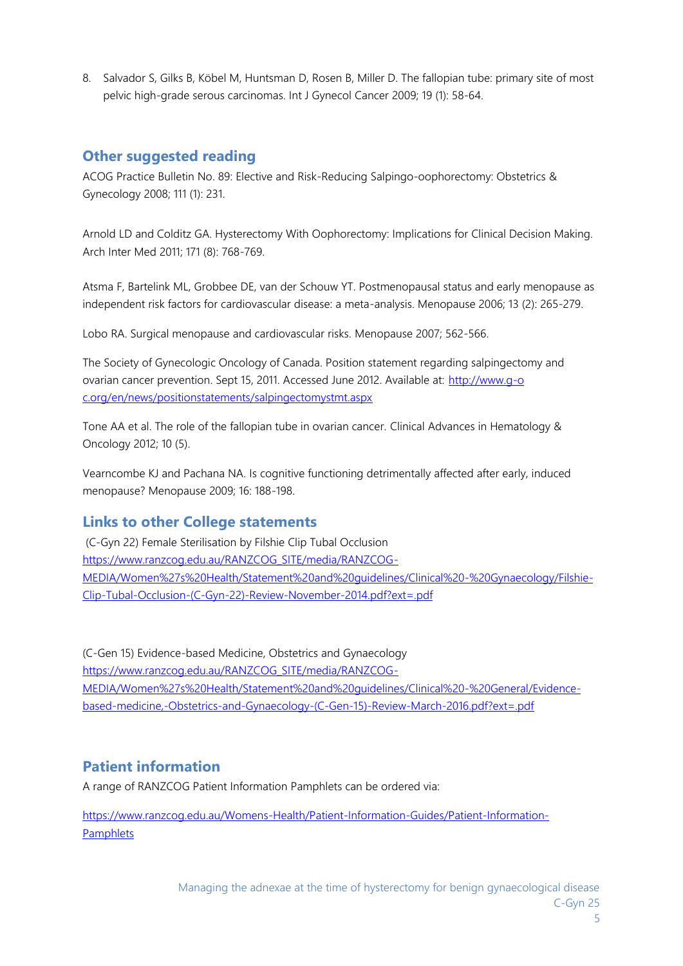8. Salvador S, Gilks B, Köbel M, Huntsman D, Rosen B, Miller D. The fallopian tube: primary site of most pelvic high-grade serous carcinomas. Int J Gynecol Cancer 2009; 19 (1): 58-64.

## **Other suggested reading**

ACOG Practice Bulletin No. 89: Elective and Risk-Reducing Salpingo-oophorectomy: Obstetrics & Gynecology 2008; 111 (1): 231.

Arnold LD and Colditz GA. Hysterectomy With Oophorectomy: Implications for Clinical Decision Making. Arch Inter Med 2011; 171 (8): 768-769.

Atsma F, Bartelink ML, Grobbee DE, van der Schouw YT. Postmenopausal status and early menopause as independent risk factors for cardiovascular disease: a meta-analysis. Menopause 2006; 13 (2): 265-279.

Lobo RA. Surgical menopause and cardiovascular risks. Menopause 2007; 562-566.

The Society of Gynecologic Oncology of Canada. Position statement regarding salpingectomy and ovarian cancer prevention. Sept 15, 2011. Accessed June 2012. Available at: http://www.g-o c.org/en/news/positionstatements/salpingectomystmt.aspx

Tone AA et al. The role of the fallopian tube in ovarian cancer. Clinical Advances in Hematology & Oncology 2012; 10 (5).

Vearncombe KJ and Pachana NA. Is cognitive functioning detrimentally affected after early, induced menopause? Menopause 2009; 16: 188-198.

## **Links to other College statements**

(C-Gyn 22) Female Sterilisation by Filshie Clip Tubal Occlusion https://www.ranzcog.edu.au/RANZCOG\_SITE/media/RANZCOG- MEDIA/Women%27s%20Health/Statement%20and%20guidelines/Clinical%20-%20Gynaecology/Filshie- Clip-Tubal-Occlusion-(C-Gyn-22)-Review-November-2014.pdf?ext=.pdf

(C-Gen 15) Evidence-based Medicine, Obstetrics and Gynaecology https://www.ranzcog.edu.au/RANZCOG\_SITE/media/RANZCOG- MEDIA/Women%27s%20Health/Statement%20and%20guidelines/Clinical%20-%20General/Evidence based-medicine,-Obstetrics-and-Gynaecology-(C-Gen-15)-Review-March-2016.pdf?ext=.pdf

## **Patient information**

A range of RANZCOG Patient Information Pamphlets can be ordered via:

https://www.ranzcog.edu.au/Womens-Health/Patient-Information-Guides/Patient-Information- **Pamphlets**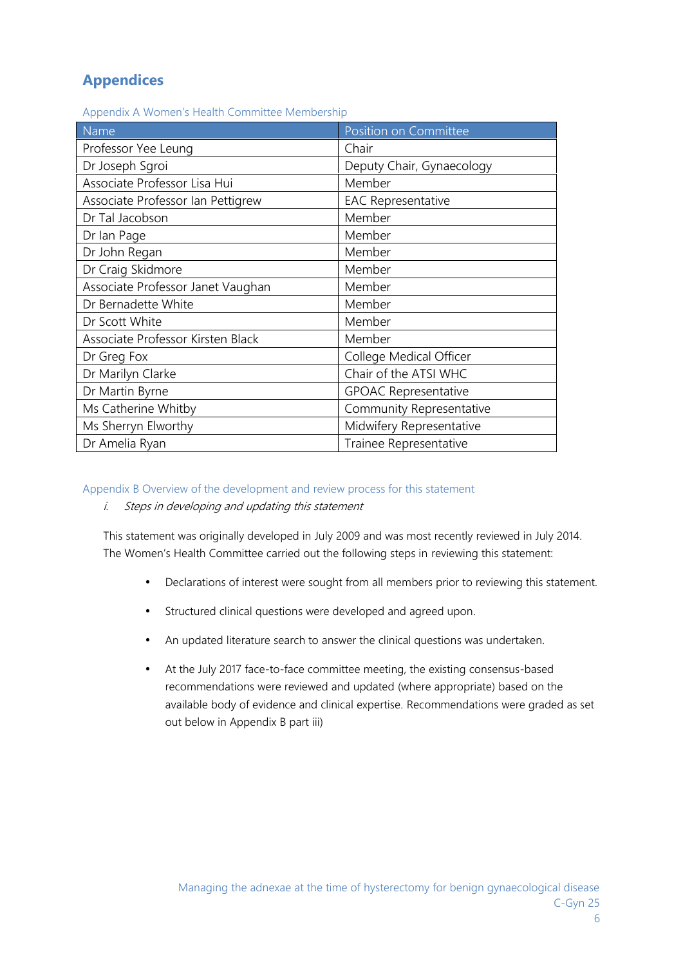## **Appendices**

Appendix A Women's Health Committee Membership

| Name                              | <b>Position on Committee</b> |
|-----------------------------------|------------------------------|
| Professor Yee Leung               | Chair                        |
| Dr Joseph Sgroi                   | Deputy Chair, Gynaecology    |
| Associate Professor Lisa Hui      | Member                       |
| Associate Professor Ian Pettigrew | <b>EAC Representative</b>    |
| Dr Tal Jacobson                   | Member                       |
| Dr Ian Page                       | Member                       |
| Dr John Regan                     | Member                       |
| Dr Craig Skidmore                 | Member                       |
| Associate Professor Janet Vaughan | Member                       |
| Dr Bernadette White               | Member                       |
| Dr Scott White                    | Member                       |
| Associate Professor Kirsten Black | Member                       |
| Dr Greg Fox                       | College Medical Officer      |
| Dr Marilyn Clarke                 | Chair of the ATSI WHC        |
| Dr Martin Byrne                   | <b>GPOAC Representative</b>  |
| Ms Catherine Whitby               | Community Representative     |
| Ms Sherryn Elworthy               | Midwifery Representative     |
| Dr Amelia Ryan                    | Trainee Representative       |

### Appendix B Overview of the development and review process for this statement

*i. Steps in developing and updating this statement*

This statement was originally developed in July 2009 and was most recently reviewed in July 2014. The Women's Health Committee carried out the following steps in reviewing this statement:

- Declarations of interest were sought from all members prior to reviewing this statement.
- Structured clinical questions were developed and agreed upon.
- An updated literature search to answer the clinical questions was undertaken.
- At the July 2017 face-to-face committee meeting, the existing consensus-based recommendations were reviewed and updated (where appropriate) based on the available body of evidence and clinical expertise. Recommendations were graded as set out below in Appendix B part iii)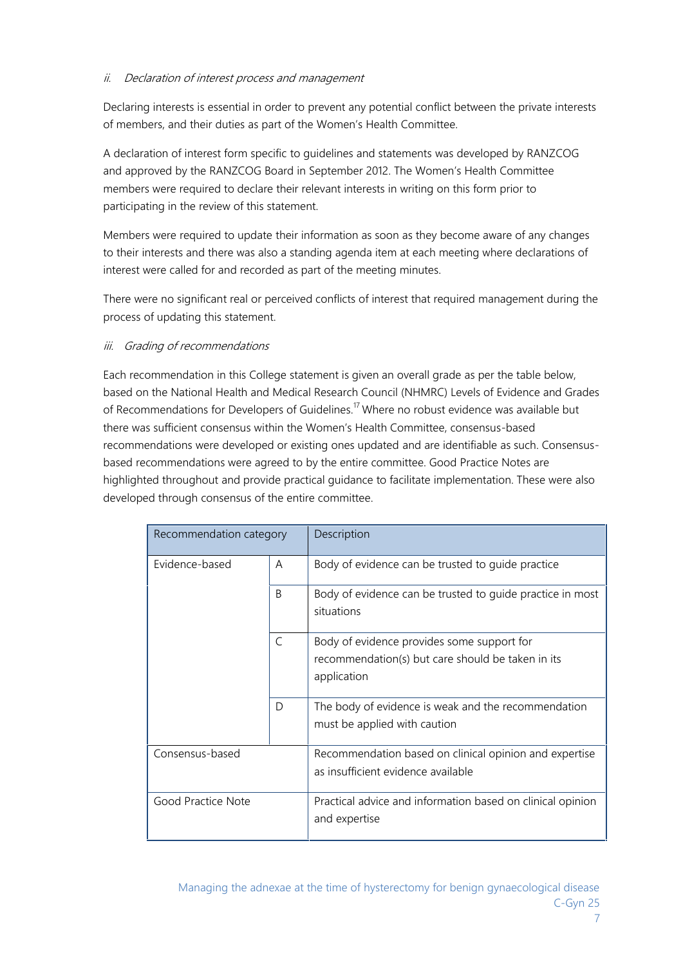## *ii. Declaration of interest process and management*

Declaring interests is essential in order to prevent any potential conflict between the private interests of members, and their duties as part of the Women's Health Committee.

A declaration of interest form specific to guidelines and statements was developed by RANZCOG and approved by the RANZCOG Board in September 2012. The Women's Health Committee members were required to declare their relevant interests in writing on this form prior to participating in the review of this statement.

Members were required to update their information as soon as they become aware of any changes to their interests and there was also a standing agenda item at each meeting where declarations of interest were called for and recorded as part of the meeting minutes.

There were no significant real or perceived conflicts of interest that required management during the process of updating this statement.

## *iii. Grading of recommendations*

Each recommendation in this College statement is given an overall grade as per the table below, based on the National Health and Medical Research Council (NHMRC) Levels of Evidence and Grades of Recommendations for Developers of Guidelines.<sup>17</sup> Where no robust evidence was available but there was sufficient consensus within the Women's Health Committee, consensus-based recommendations were developed or existing ones updated and are identifiable as such. Consensus based recommendations were agreed to by the entire committee. Good Practice Notes are highlighted throughout and provide practical guidance to facilitate implementation. These were also developed through consensus of the entire committee.

| Recommendation category |   | Description                                                                                                    |
|-------------------------|---|----------------------------------------------------------------------------------------------------------------|
| Evidence-based          | A | Body of evidence can be trusted to guide practice                                                              |
|                         | B | Body of evidence can be trusted to quide practice in most<br>situations                                        |
|                         | C | Body of evidence provides some support for<br>recommendation(s) but care should be taken in its<br>application |
|                         | D | The body of evidence is weak and the recommendation<br>must be applied with caution                            |
| Consensus-based         |   | Recommendation based on clinical opinion and expertise<br>as insufficient evidence available                   |
| Good Practice Note      |   | Practical advice and information based on clinical opinion<br>and expertise                                    |

7